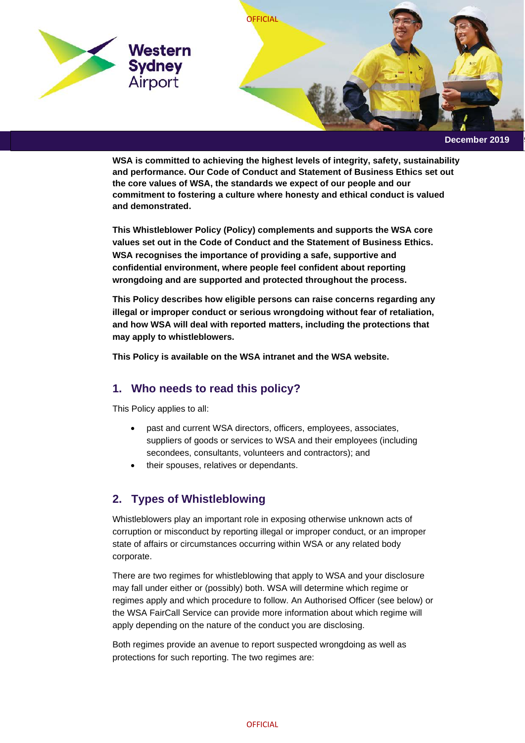

**WSA is committed to achieving the highest levels of integrity, safety, sustainability and performance. Our Code of Conduct and Statement of Business Ethics set out the core values of WSA, the standards we expect of our people and our commitment to fostering a culture where honesty and ethical conduct is valued and demonstrated.**

**This Whistleblower Policy (Policy) complements and supports the WSA core values set out in the Code of Conduct and the Statement of Business Ethics. WSA recognises the importance of providing a safe, supportive and confidential environment, where people feel confident about reporting wrongdoing and are supported and protected throughout the process.**

**This Policy describes how eligible persons can raise concerns regarding any illegal or improper conduct or serious wrongdoing without fear of retaliation, and how WSA will deal with reported matters, including the protections that may apply to whistleblowers.**

**This Policy is available on the WSA intranet and the WSA website.** 

# **1. Who needs to read this policy?**

This Policy applies to all:

- past and current WSA directors, officers, employees, associates, suppliers of goods or services to WSA and their employees (including secondees, consultants, volunteers and contractors); and
- their spouses, relatives or dependants.

# **2. Types of Whistleblowing**

Whistleblowers play an important role in exposing otherwise unknown acts of corruption or misconduct by reporting illegal or improper conduct, or an improper state of affairs or circumstances occurring within WSA or any related body corporate.

There are two regimes for whistleblowing that apply to WSA and your disclosure may fall under either or (possibly) both. WSA will determine which regime or regimes apply and which procedure to follow. An Authorised Officer (see below) or the WSA FairCall Service can provide more information about which regime will apply depending on the nature of the conduct you are disclosing.

Both regimes provide an avenue to report suspected wrongdoing as well as protections for such reporting. The two regimes are: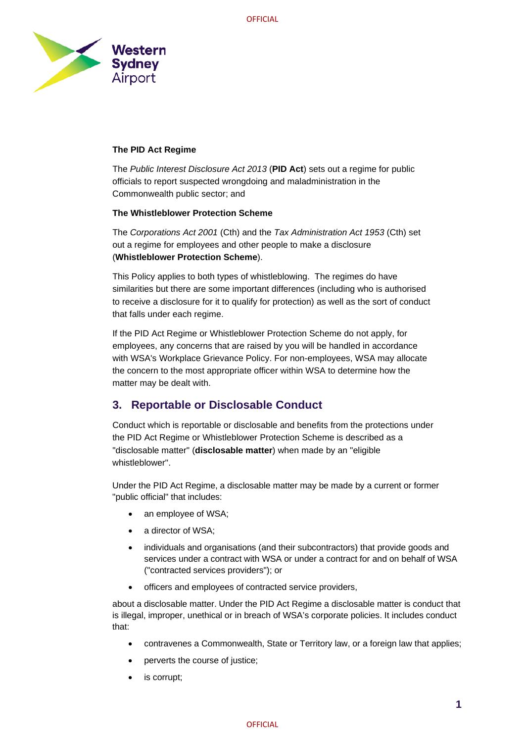

## **The PID Act Regime**

The *Public Interest Disclosure Act 2013* (**PID Act**) sets out a regime for public officials to report suspected wrongdoing and maladministration in the Commonwealth public sector; and

### **The Whistleblower Protection Scheme**

The *Corporations Act 2001* (Cth) and the *Tax Administration Act 1953* (Cth) set out a regime for employees and other people to make a disclosure (**Whistleblower Protection Scheme**).

This Policy applies to both types of whistleblowing. The regimes do have similarities but there are some important differences (including who is authorised to receive a disclosure for it to qualify for protection) as well as the sort of conduct that falls under each regime.

If the PID Act Regime or Whistleblower Protection Scheme do not apply, for employees, any concerns that are raised by you will be handled in accordance with WSA's Workplace Grievance Policy. For non-employees, WSA may allocate the concern to the most appropriate officer within WSA to determine how the matter may be dealt with.

# **3. Reportable or Disclosable Conduct**

Conduct which is reportable or disclosable and benefits from the protections under the PID Act Regime or Whistleblower Protection Scheme is described as a "disclosable matter" (**disclosable matter**) when made by an "eligible whistleblower".

Under the PID Act Regime, a disclosable matter may be made by a current or former "public official" that includes:

- an employee of WSA;
- a director of WSA;
- individuals and organisations (and their subcontractors) that provide goods and services under a contract with WSA or under a contract for and on behalf of WSA ("contracted services providers"); or
- officers and employees of contracted service providers,

about a disclosable matter. Under the PID Act Regime a disclosable matter is conduct that is illegal, improper, unethical or in breach of WSA's corporate policies. It includes conduct that:

- contravenes a Commonwealth, State or Territory law, or a foreign law that applies;
- perverts the course of justice;
- is corrupt;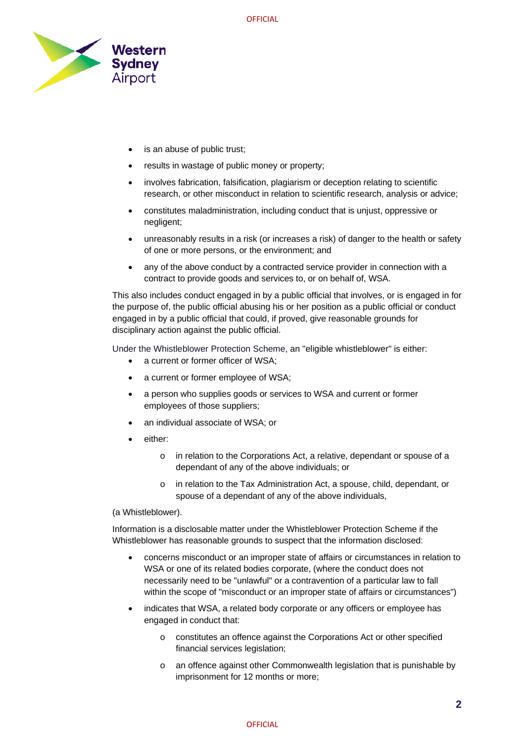

- is an abuse of public trust;
- results in wastage of public money or property;
- involves fabrication, falsification, plagiarism or deception relating to scientific research, or other misconduct in relation to scientific research, analysis or advice;
- constitutes maladministration, including conduct that is unjust, oppressive or negligent;
- unreasonably results in a risk (or increases a risk) of danger to the health or safety of one or more persons, or the environment; and
- any of the above conduct by a contracted service provider in connection with a contract to provide goods and services to, or on behalf of, WSA.

This also includes conduct engaged in by a public official that involves, or is engaged in for the purpose of, the public official abusing his or her position as a public official or conduct engaged in by a public official that could, if proved, give reasonable grounds for disciplinary action against the public official.

Under the Whistleblower Protection Scheme, an "eligible whistleblower" is either:

- a current or former officer of WSA;
- a current or former employee of WSA;
- a person who supplies goods or services to WSA and current or former employees of those suppliers;
- an individual associate of WSA; or
- either:
	- o in relation to the Corporations Act, a relative, dependant or spouse of a dependant of any of the above individuals; or
	- o in relation to the Tax Administration Act, a spouse, child, dependant, or spouse of a dependant of any of the above individuals,

(a Whistleblower).

Information is a disclosable matter under the Whistleblower Protection Scheme if the Whistleblower has reasonable grounds to suspect that the information disclosed:

- concerns misconduct or an improper state of affairs or circumstances in relation to WSA or one of its related bodies corporate, (where the conduct does not necessarily need to be "unlawful" or a contravention of a particular law to fall within the scope of "misconduct or an improper state of affairs or circumstances")
- indicates that WSA, a related body corporate or any officers or employee has engaged in conduct that:
	- o constitutes an offence against the Corporations Act or other specified financial services legislation;
	- o an offence against other Commonwealth legislation that is punishable by imprisonment for 12 months or more;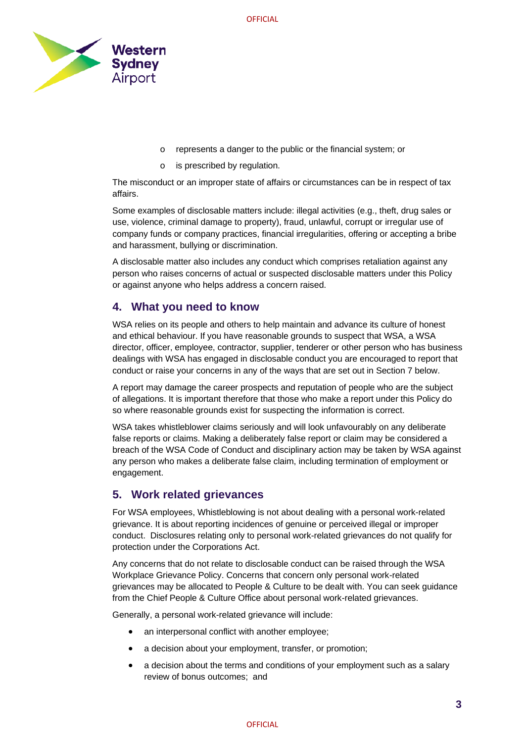

- o represents a danger to the public or the financial system; or
- o is prescribed by regulation.

The misconduct or an improper state of affairs or circumstances can be in respect of tax affairs.

Some examples of disclosable matters include: illegal activities (e.g., theft, drug sales or use, violence, criminal damage to property), fraud, unlawful, corrupt or irregular use of company funds or company practices, financial irregularities, offering or accepting a bribe and harassment, bullying or discrimination.

A disclosable matter also includes any conduct which comprises retaliation against any person who raises concerns of actual or suspected disclosable matters under this Policy or against anyone who helps address a concern raised.

## **4. What you need to know**

WSA relies on its people and others to help maintain and advance its culture of honest and ethical behaviour. If you have reasonable grounds to suspect that WSA, a WSA director, officer, employee, contractor, supplier, tenderer or other person who has business dealings with WSA has engaged in disclosable conduct you are encouraged to report that conduct or raise your concerns in any of the ways that are set out in Section 7 below.

A report may damage the career prospects and reputation of people who are the subject of allegations. It is important therefore that those who make a report under this Policy do so where reasonable grounds exist for suspecting the information is correct.

WSA takes whistleblower claims seriously and will look unfavourably on any deliberate false reports or claims. Making a deliberately false report or claim may be considered a breach of the WSA Code of Conduct and disciplinary action may be taken by WSA against any person who makes a deliberate false claim, including termination of employment or engagement.

# **5. Work related grievances**

For WSA employees, Whistleblowing is not about dealing with a personal work-related grievance. It is about reporting incidences of genuine or perceived illegal or improper conduct. Disclosures relating only to personal work-related grievances do not qualify for protection under the Corporations Act.

Any concerns that do not relate to disclosable conduct can be raised through the WSA Workplace Grievance Policy. Concerns that concern only personal work-related grievances may be allocated to People & Culture to be dealt with. You can seek guidance from the Chief People & Culture Office about personal work-related grievances.

Generally, a personal work-related grievance will include:

- an interpersonal conflict with another employee;
- a decision about your employment, transfer, or promotion;
- a decision about the terms and conditions of your employment such as a salary review of bonus outcomes; and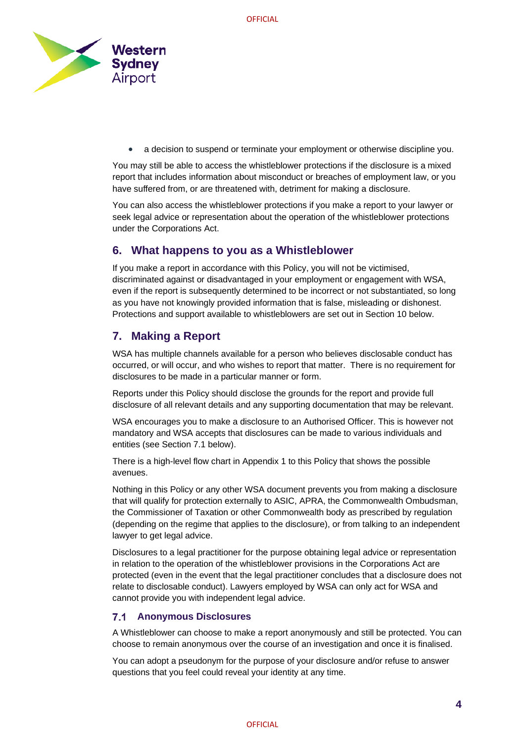

• a decision to suspend or terminate your employment or otherwise discipline you.

You may still be able to access the whistleblower protections if the disclosure is a mixed report that includes information about misconduct or breaches of employment law, or you have suffered from, or are threatened with, detriment for making a disclosure.

You can also access the whistleblower protections if you make a report to your lawyer or seek legal advice or representation about the operation of the whistleblower protections under the Corporations Act.

# **6. What happens to you as a Whistleblower**

If you make a report in accordance with this Policy, you will not be victimised, discriminated against or disadvantaged in your employment or engagement with WSA, even if the report is subsequently determined to be incorrect or not substantiated, so long as you have not knowingly provided information that is false, misleading or dishonest. Protections and support available to whistleblowers are set out in Section [10](#page-9-0) below.

# **7. Making a Report**

WSA has multiple channels available for a person who believes disclosable conduct has occurred, or will occur, and who wishes to report that matter. There is no requirement for disclosures to be made in a particular manner or form.

Reports under this Policy should disclose the grounds for the report and provide full disclosure of all relevant details and any supporting documentation that may be relevant.

WSA encourages you to make a disclosure to an Authorised Officer. This is however not mandatory and WSA accepts that disclosures can be made to various individuals and entities (see Section 7.1 below).

There is a high-level flow chart in Appendix 1 to this Policy that shows the possible avenues.

Nothing in this Policy or any other WSA document prevents you from making a disclosure that will qualify for protection externally to ASIC, APRA, the Commonwealth Ombudsman, the Commissioner of Taxation or other Commonwealth body as prescribed by regulation (depending on the regime that applies to the disclosure), or from talking to an independent lawyer to get legal advice.

Disclosures to a legal practitioner for the purpose obtaining legal advice or representation in relation to the operation of the whistleblower provisions in the Corporations Act are protected (even in the event that the legal practitioner concludes that a disclosure does not relate to disclosable conduct). Lawyers employed by WSA can only act for WSA and cannot provide you with independent legal advice.

#### $7.1$ **Anonymous Disclosures**

A Whistleblower can choose to make a report anonymously and still be protected. You can choose to remain anonymous over the course of an investigation and once it is finalised.

You can adopt a pseudonym for the purpose of your disclosure and/or refuse to answer questions that you feel could reveal your identity at any time.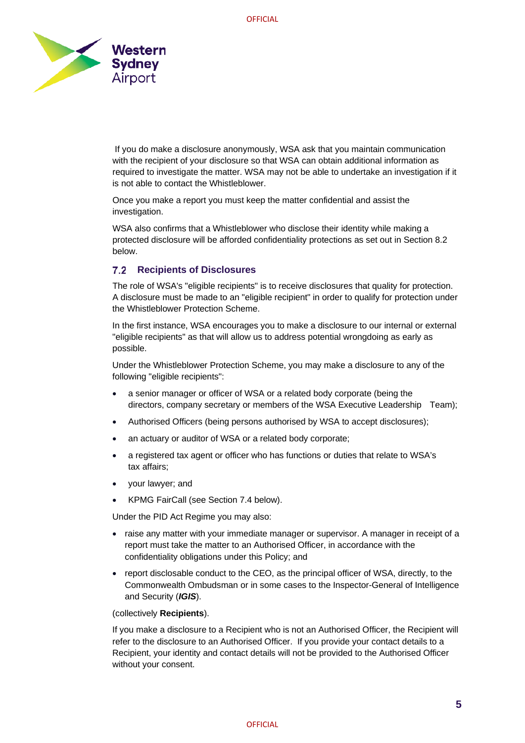

If you do make a disclosure anonymously, WSA ask that you maintain communication with the recipient of your disclosure so that WSA can obtain additional information as required to investigate the matter. WSA may not be able to undertake an investigation if it is not able to contact the Whistleblower.

Once you make a report you must keep the matter confidential and assist the investigation.

WSA also confirms that a Whistleblower who disclose their identity while making a protected disclosure will be afforded confidentiality protections as set out in Section 8.2 below.

## **Recipients of Disclosures**

The role of WSA's "eligible recipients" is to receive disclosures that quality for protection. A disclosure must be made to an "eligible recipient" in order to qualify for protection under the Whistleblower Protection Scheme.

In the first instance, WSA encourages you to make a disclosure to our internal or external "eligible recipients" as that will allow us to address potential wrongdoing as early as possible.

Under the Whistleblower Protection Scheme, you may make a disclosure to any of the following "eligible recipients":

- a senior manager or officer of WSA or a related body corporate (being the directors, company secretary or members of the WSA Executive Leadership Team);
- Authorised Officers (being persons authorised by WSA to accept disclosures);
- an actuary or auditor of WSA or a related body corporate;
- a registered tax agent or officer who has functions or duties that relate to WSA's tax affairs;
- your lawyer; and
- KPMG FairCall (see Section 7.4 below).

Under the PID Act Regime you may also:

- raise any matter with your immediate manager or supervisor. A manager in receipt of a report must take the matter to an Authorised Officer, in accordance with the confidentiality obligations under this Policy; and
- report disclosable conduct to the CEO, as the principal officer of WSA, directly, to the Commonwealth Ombudsman or in some cases to the Inspector-General of Intelligence and Security (*IGIS*).

### (collectively **Recipients**).

If you make a disclosure to a Recipient who is not an Authorised Officer, the Recipient will refer to the disclosure to an Authorised Officer. If you provide your contact details to a Recipient, your identity and contact details will not be provided to the Authorised Officer without your consent.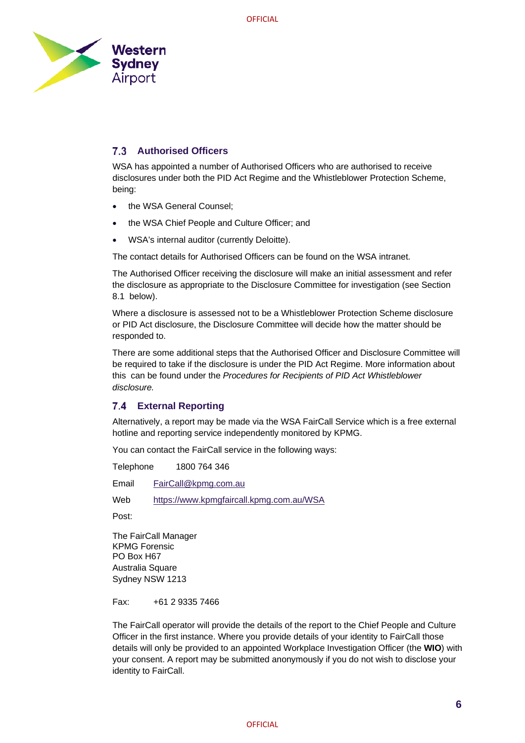

#### **Authorised Officers**   $7.3$

WSA has appointed a number of Authorised Officers who are authorised to receive disclosures under both the PID Act Regime and the Whistleblower Protection Scheme, being:

- the WSA General Counsel;
- the WSA Chief People and Culture Officer; and
- WSA's internal auditor (currently Deloitte).

The contact details for Authorised Officers can be found on the WSA intranet.

The Authorised Officer receiving the disclosure will make an initial assessment and refer the disclosure as appropriate to the Disclosure Committee for investigation (see Section 8.1 below).

Where a disclosure is assessed not to be a Whistleblower Protection Scheme disclosure or PID Act disclosure, the Disclosure Committee will decide how the matter should be responded to.

There are some additional steps that the Authorised Officer and Disclosure Committee will be required to take if the disclosure is under the PID Act Regime. More information about this can be found under the *Procedures for Recipients of PID Act Whistleblower disclosure.* 

### **External Reporting**

Alternatively, a report may be made via the WSA FairCall Service which is a free external hotline and reporting service independently monitored by KPMG.

You can contact the FairCall service in the following ways:

Telephone 1800 764 346

Email [FairCall@kpmg.com.au](mailto:FairCall@kpmg.com.au)

Web <https://www.kpmgfaircall.kpmg.com.au/WSA>

Post:

The FairCall Manager KPMG Forensic PO Box H67 Australia Square Sydney NSW 1213

Fax: +61 2 9335 7466

The FairCall operator will provide the details of the report to the Chief People and Culture Officer in the first instance. Where you provide details of your identity to FairCall those details will only be provided to an appointed Workplace Investigation Officer (the **WIO**) with your consent. A report may be submitted anonymously if you do not wish to disclose your identity to FairCall.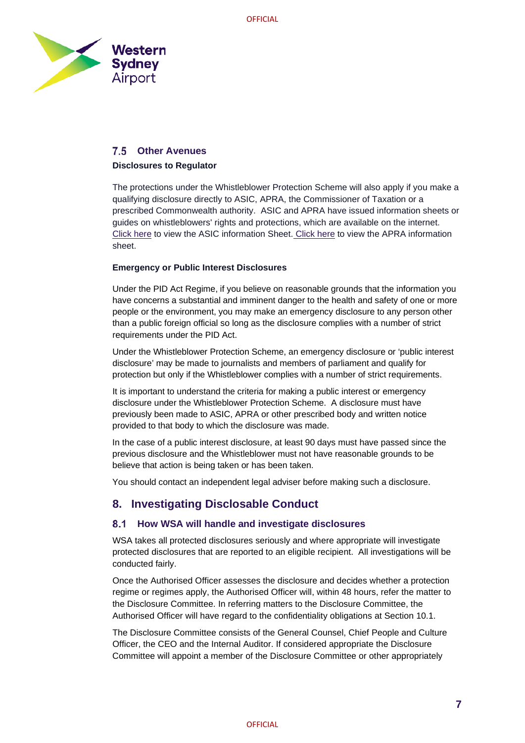

## **Other Avenues**

### **Disclosures to Regulator**

The protections under the Whistleblower Protection Scheme will also apply if you make a qualifying disclosure directly to ASIC, APRA, the Commissioner of Taxation or a prescribed Commonwealth authority. ASIC and APRA have issued information sheets or guides on whistleblowers' rights and protections, which are available on the internet. [Click here](https://www.apra.gov.au/become-a-whistleblower-and-make-a-public-interest-disclosure) to view the ASIC information Sheet. Click here to view the APRA information sheet.

### **Emergency or Public Interest Disclosures**

Under the PID Act Regime, if you believe on reasonable grounds that the information you have concerns a substantial and imminent danger to the health and safety of one or more people or the environment, you may make an emergency disclosure to any person other than a public foreign official so long as the disclosure complies with a number of strict requirements under the PID Act.

Under the Whistleblower Protection Scheme, an emergency disclosure or 'public interest disclosure' may be made to journalists and members of parliament and qualify for protection but only if the Whistleblower complies with a number of strict requirements.

It is important to understand the criteria for making a public interest or emergency disclosure under the Whistleblower Protection Scheme. A disclosure must have previously been made to ASIC, APRA or other prescribed body and written notice provided to that body to which the disclosure was made.

In the case of a public interest disclosure, at least 90 days must have passed since the previous disclosure and the Whistleblower must not have reasonable grounds to be believe that action is being taken or has been taken.

You should contact an independent legal adviser before making such a disclosure.

# **8. Investigating Disclosable Conduct**

#### **How WSA will handle and investigate disclosures**  $8.1$

WSA takes all protected disclosures seriously and where appropriate will investigate protected disclosures that are reported to an eligible recipient. All investigations will be conducted fairly.

Once the Authorised Officer assesses the disclosure and decides whether a protection regime or regimes apply, the Authorised Officer will, within 48 hours, refer the matter to the Disclosure Committee. In referring matters to the Disclosure Committee, the Authorised Officer will have regard to the confidentiality obligations at Section 10.1.

The Disclosure Committee consists of the General Counsel, Chief People and Culture Officer, the CEO and the Internal Auditor. If considered appropriate the Disclosure Committee will appoint a member of the Disclosure Committee or other appropriately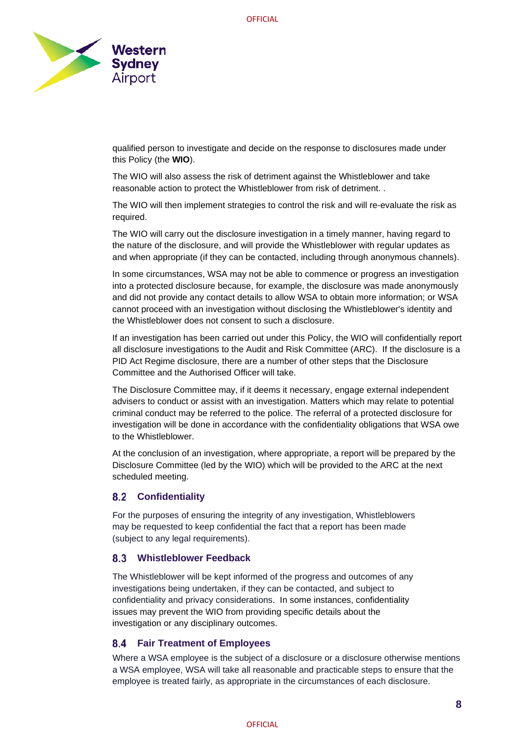

qualified person to investigate and decide on the response to disclosures made under this Policy (the **WIO**).

The WIO will also assess the risk of detriment against the Whistleblower and take reasonable action to protect the Whistleblower from risk of detriment. .

The WIO will then implement strategies to control the risk and will re-evaluate the risk as required.

The WIO will carry out the disclosure investigation in a timely manner, having regard to the nature of the disclosure, and will provide the Whistleblower with regular updates as and when appropriate (if they can be contacted, including through anonymous channels).

In some circumstances, WSA may not be able to commence or progress an investigation into a protected disclosure because, for example, the disclosure was made anonymously and did not provide any contact details to allow WSA to obtain more information; or WSA cannot proceed with an investigation without disclosing the Whistleblower's identity and the Whistleblower does not consent to such a disclosure.

If an investigation has been carried out under this Policy, the WIO will confidentially report all disclosure investigations to the Audit and Risk Committee (ARC). If the disclosure is a PID Act Regime disclosure, there are a number of other steps that the Disclosure Committee and the Authorised Officer will take.

The Disclosure Committee may, if it deems it necessary, engage external independent advisers to conduct or assist with an investigation. Matters which may relate to potential criminal conduct may be referred to the police. The referral of a protected disclosure for investigation will be done in accordance with the confidentiality obligations that WSA owe to the Whistleblower.

At the conclusion of an investigation, where appropriate, a report will be prepared by the Disclosure Committee (led by the WIO) which will be provided to the ARC at the next scheduled meeting.

#### $8.2$ **Confidentiality**

For the purposes of ensuring the integrity of any investigation, Whistleblowers may be requested to keep confidential the fact that a report has been made (subject to any legal requirements).

### **Whistleblower Feedback**

The Whistleblower will be kept informed of the progress and outcomes of any investigations being undertaken, if they can be contacted, and subject to confidentiality and privacy considerations. In some instances, confidentiality issues may prevent the WIO from providing specific details about the investigation or any disciplinary outcomes.

### **Fair Treatment of Employees**

Where a WSA employee is the subject of a disclosure or a disclosure otherwise mentions a WSA employee, WSA will take all reasonable and practicable steps to ensure that the employee is treated fairly, as appropriate in the circumstances of each disclosure.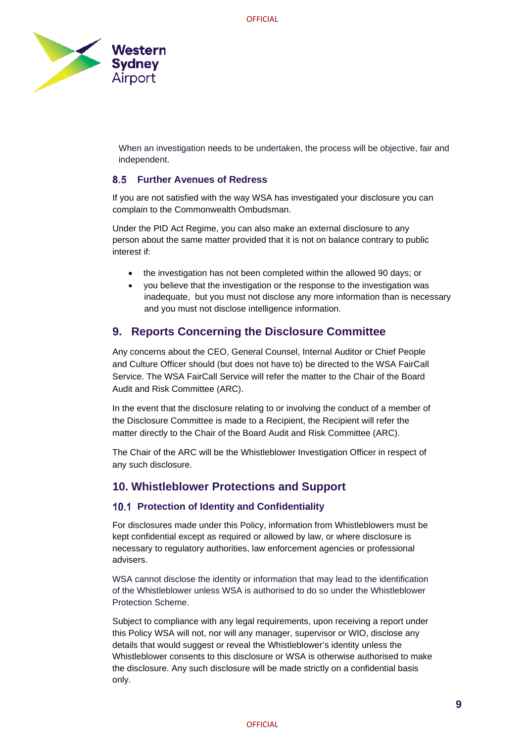

When an investigation needs to be undertaken, the process will be objective, fair and independent.

#### 85 **Further Avenues of Redress**

If you are not satisfied with the way WSA has investigated your disclosure you can complain to the Commonwealth Ombudsman.

Under the PID Act Regime, you can also make an external disclosure to any person about the same matter provided that it is not on balance contrary to public interest if:

- the investigation has not been completed within the allowed 90 days; or
- you believe that the investigation or the response to the investigation was inadequate, but you must not disclose any more information than is necessary and you must not disclose intelligence information.

# **9. Reports Concerning the Disclosure Committee**

Any concerns about the CEO, General Counsel, Internal Auditor or Chief People and Culture Officer should (but does not have to) be directed to the WSA FairCall Service. The WSA FairCall Service will refer the matter to the Chair of the Board Audit and Risk Committee (ARC).

In the event that the disclosure relating to or involving the conduct of a member of the Disclosure Committee is made to a Recipient, the Recipient will refer the matter directly to the Chair of the Board Audit and Risk Committee (ARC).

The Chair of the ARC will be the Whistleblower Investigation Officer in respect of any such disclosure.

# <span id="page-9-0"></span>**10. Whistleblower Protections and Support**

### **10.1 Protection of Identity and Confidentiality**

For disclosures made under this Policy, information from Whistleblowers must be kept confidential except as required or allowed by law, or where disclosure is necessary to regulatory authorities, law enforcement agencies or professional advisers.

WSA cannot disclose the identity or information that may lead to the identification of the Whistleblower unless WSA is authorised to do so under the Whistleblower Protection Scheme.

Subject to compliance with any legal requirements, upon receiving a report under this Policy WSA will not, nor will any manager, supervisor or WIO, disclose any details that would suggest or reveal the Whistleblower's identity unless the Whistleblower consents to this disclosure or WSA is otherwise authorised to make the disclosure. Any such disclosure will be made strictly on a confidential basis only.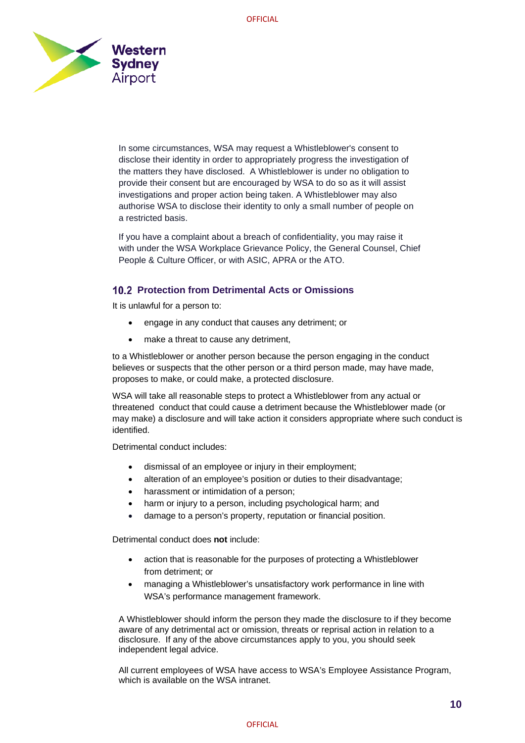

In some circumstances, WSA may request a Whistleblower's consent to disclose their identity in order to appropriately progress the investigation of the matters they have disclosed. A Whistleblower is under no obligation to provide their consent but are encouraged by WSA to do so as it will assist investigations and proper action being taken. A Whistleblower may also authorise WSA to disclose their identity to only a small number of people on a restricted basis.

If you have a complaint about a breach of confidentiality, you may raise it with under the WSA Workplace Grievance Policy, the General Counsel, Chief People & Culture Officer, or with ASIC, APRA or the ATO.

## **Protection from Detrimental Acts or Omissions**

It is unlawful for a person to:

- engage in any conduct that causes any detriment; or
- make a threat to cause any detriment,

to a Whistleblower or another person because the person engaging in the conduct believes or suspects that the other person or a third person made, may have made, proposes to make, or could make, a protected disclosure.

WSA will take all reasonable steps to protect a Whistleblower from any actual or threatened conduct that could cause a detriment because the Whistleblower made (or may make) a disclosure and will take action it considers appropriate where such conduct is identified.

Detrimental conduct includes:

- dismissal of an employee or injury in their employment;
- alteration of an employee's position or duties to their disadvantage;
- harassment or intimidation of a person;
- harm or injury to a person, including psychological harm; and
- damage to a person's property, reputation or financial position.

Detrimental conduct does **not** include:

- action that is reasonable for the purposes of protecting a Whistleblower from detriment; or
- managing a Whistleblower's unsatisfactory work performance in line with WSA's performance management framework.

A Whistleblower should inform the person they made the disclosure to if they become aware of any detrimental act or omission, threats or reprisal action in relation to a disclosure. If any of the above circumstances apply to you, you should seek independent legal advice.

All current employees of WSA have access to WSA's Employee Assistance Program, which is available on the WSA intranet.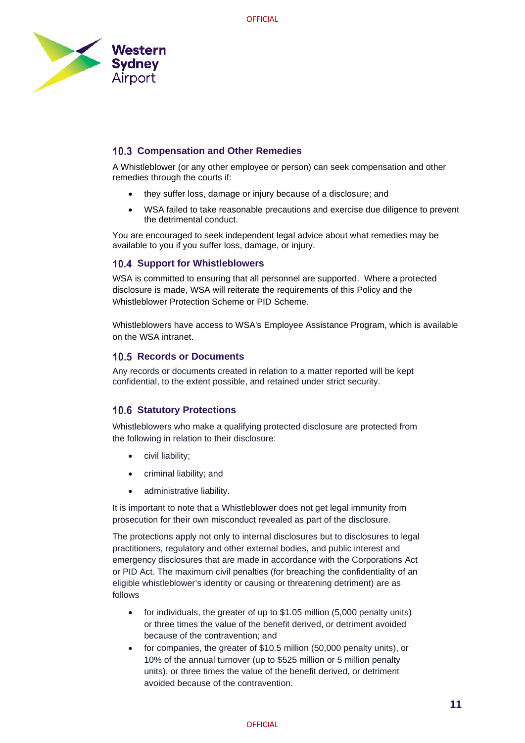

## **10.3 Compensation and Other Remedies**

A Whistleblower (or any other employee or person) can seek compensation and other remedies through the courts if:

- they suffer loss, damage or injury because of a disclosure; and
- WSA failed to take reasonable precautions and exercise due diligence to prevent the detrimental conduct.

You are encouraged to seek independent legal advice about what remedies may be available to you if you suffer loss, damage, or injury.

## **10.4 Support for Whistleblowers**

WSA is committed to ensuring that all personnel are supported. Where a protected disclosure is made, WSA will reiterate the requirements of this Policy and the Whistleblower Protection Scheme or PID Scheme.

Whistleblowers have access to WSA's Employee Assistance Program, which is available on the WSA intranet.

### **10.5 Records or Documents**

Any records or documents created in relation to a matter reported will be kept confidential, to the extent possible, and retained under strict security.

## **10.6 Statutory Protections**

Whistleblowers who make a qualifying protected disclosure are protected from the following in relation to their disclosure:

- civil liability;
- criminal liability; and
- administrative liability.

It is important to note that a Whistleblower does not get legal immunity from prosecution for their own misconduct revealed as part of the disclosure.

The protections apply not only to internal disclosures but to disclosures to legal practitioners, regulatory and other external bodies, and public interest and emergency disclosures that are made in accordance with the Corporations Act or PID Act. The maximum civil penalties (for breaching the confidentiality of an eligible whistleblower's identity or causing or threatening detriment) are as follows

- for individuals, the greater of up to \$1.05 million (5,000 penalty units) or three times the value of the benefit derived, or detriment avoided because of the contravention; and
- for companies, the greater of \$10.5 million (50,000 penalty units), or 10% of the annual turnover (up to \$525 million or 5 million penalty units), or three times the value of the benefit derived, or detriment avoided because of the contravention.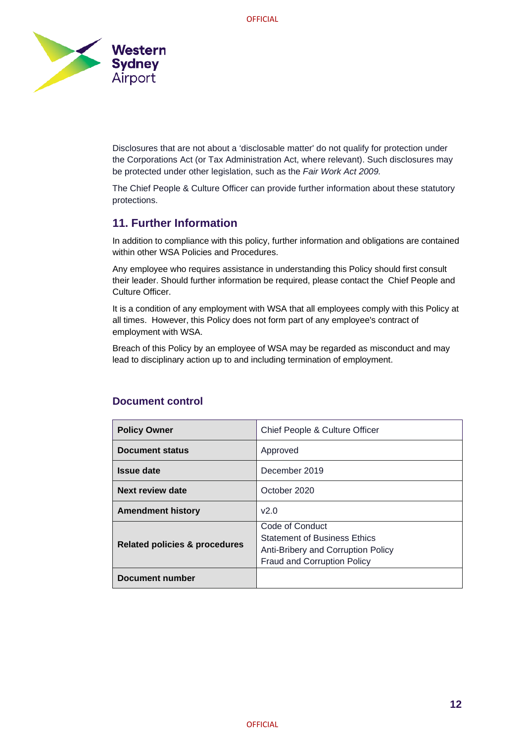

Disclosures that are not about a 'disclosable matter' do not qualify for protection under the Corporations Act (or Tax Administration Act, where relevant). Such disclosures may be protected under other legislation, such as the *Fair Work Act 2009.* 

The Chief People & Culture Officer can provide further information about these statutory protections.

# **11. Further Information**

In addition to compliance with this policy, further information and obligations are contained within other WSA Policies and Procedures.

Any employee who requires assistance in understanding this Policy should first consult their leader. Should further information be required, please contact the Chief People and Culture Officer.

It is a condition of any employment with WSA that all employees comply with this Policy at all times. However, this Policy does not form part of any employee's contract of employment with WSA.

Breach of this Policy by an employee of WSA may be regarded as misconduct and may lead to disciplinary action up to and including termination of employment.

| <b>Policy Owner</b>                      | Chief People & Culture Officer                                                                                                     |
|------------------------------------------|------------------------------------------------------------------------------------------------------------------------------------|
| Document status                          | Approved                                                                                                                           |
| <b>Issue date</b>                        | December 2019                                                                                                                      |
| Next review date                         | October 2020                                                                                                                       |
| <b>Amendment history</b>                 | v2.0                                                                                                                               |
| <b>Related policies &amp; procedures</b> | Code of Conduct<br><b>Statement of Business Ethics</b><br>Anti-Bribery and Corruption Policy<br><b>Fraud and Corruption Policy</b> |
| Document number                          |                                                                                                                                    |

## **Document control**